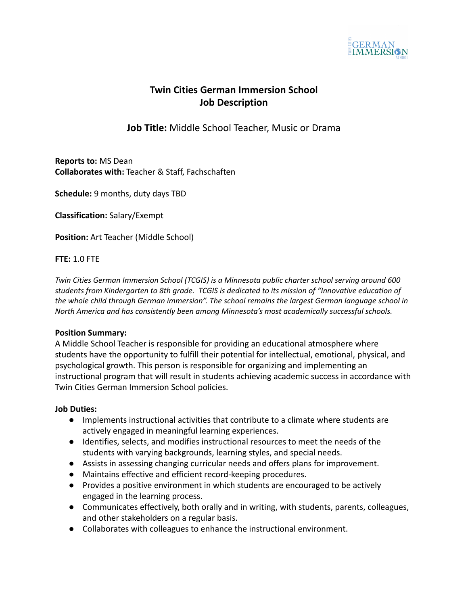

# **Twin Cities German Immersion School Job Description**

# **Job Title:** Middle School Teacher, Music or Drama

**Reports to:** MS Dean **Collaborates with:** Teacher & Staff, Fachschaften

**Schedule:** 9 months, duty days TBD

**Classification:** Salary/Exempt

**Position:** Art Teacher (Middle School)

#### **FTE:** 1.0 FTE

*Twin Cities German Immersion School (TCGIS) is a Minnesota public charter school serving around 600 students from Kindergarten to 8th grade. TCGIS is dedicated to its mission of "Innovative education of the whole child through German immersion". The school remains the largest German language school in North America and has consistently been among Minnesota's most academically successful schools.*

#### **Position Summary:**

A Middle School Teacher is responsible for providing an educational atmosphere where students have the opportunity to fulfill their potential for intellectual, emotional, physical, and psychological growth. This person is responsible for organizing and implementing an instructional program that will result in students achieving academic success in accordance with Twin Cities German Immersion School policies.

#### **Job Duties:**

- Implements instructional activities that contribute to a climate where students are actively engaged in meaningful learning experiences.
- Identifies, selects, and modifies instructional resources to meet the needs of the students with varying backgrounds, learning styles, and special needs.
- Assists in assessing changing curricular needs and offers plans for improvement.
- Maintains effective and efficient record-keeping procedures.
- Provides a positive environment in which students are encouraged to be actively engaged in the learning process.
- Communicates effectively, both orally and in writing, with students, parents, colleagues, and other stakeholders on a regular basis.
- Collaborates with colleagues to enhance the instructional environment.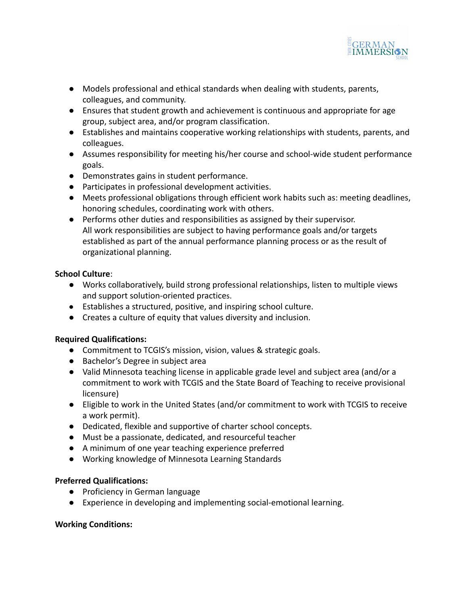

- Models professional and ethical standards when dealing with students, parents, colleagues, and community.
- Ensures that student growth and achievement is continuous and appropriate for age group, subject area, and/or program classification.
- Establishes and maintains cooperative working relationships with students, parents, and colleagues.
- Assumes responsibility for meeting his/her course and school-wide student performance goals.
- Demonstrates gains in student performance.
- Participates in professional development activities.
- Meets professional obligations through efficient work habits such as: meeting deadlines, honoring schedules, coordinating work with others.
- Performs other duties and responsibilities as assigned by their supervisor. All work responsibilities are subject to having performance goals and/or targets established as part of the annual performance planning process or as the result of organizational planning.

# **School Culture**:

- **●** Works collaboratively, build strong professional relationships, listen to multiple views and support solution-oriented practices.
- Establishes a structured, positive, and inspiring school culture.
- Creates a culture of equity that values diversity and inclusion.

# **Required Qualifications:**

- Commitment to TCGIS's mission, vision, values & strategic goals.
- Bachelor's Degree in subject area
- Valid Minnesota teaching license in applicable grade level and subject area (and/or a commitment to work with TCGIS and the State Board of Teaching to receive provisional licensure)
- Eligible to work in the United States (and/or commitment to work with TCGIS to receive a work permit).
- Dedicated, flexible and supportive of charter school concepts.
- Must be a passionate, dedicated, and resourceful teacher
- A minimum of one year teaching experience preferred
- Working knowledge of Minnesota Learning Standards

# **Preferred Qualifications:**

- Proficiency in German language
- Experience in developing and implementing social-emotional learning.

### **Working Conditions:**